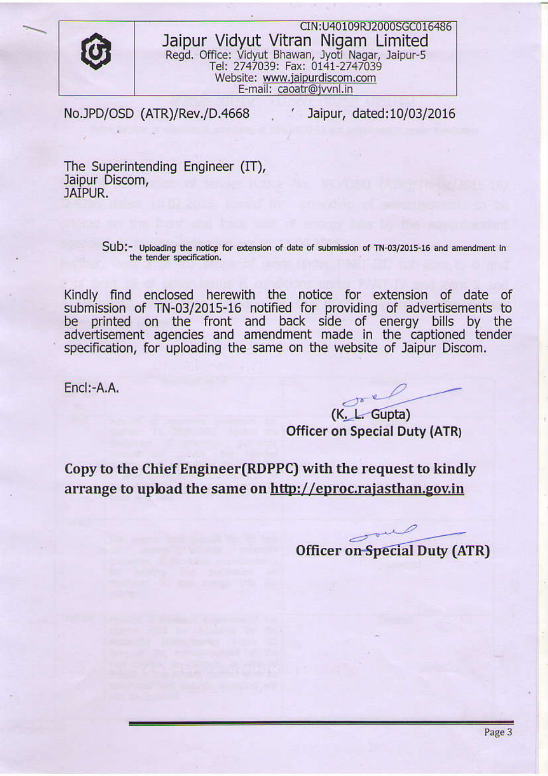

CIN:U40109RJ2000scc015486 Jaipur Vidyut Vitran Nigam Limited Regd. Office: Vidyut Bhawan, Jyoti Nagar, Jaipur-5 Tel: 2747039: Fax: 0141-2747039 Website: www.iaipurdiscom.com E-mail: caoatr@ivvnl.in

No.JPD/OSD (ATR)/ReV./D.4668

' Jaipur, dated:10/03/2016

The Superintending Engineer (IT), Jaipur Discom, JAIPUR.

> Sub:- Uploading the notice for extension of date of submission of TN-03/2015-16 and amendment in the tender specification.

Kindly find enclosed herewith the notice for extension of date of submission of TN-03/2015-16 notified for providing of advertisements to be printed on the front and back side of energy bills by the advertisement agencies and amendment made in the captioned tender specification, for uploading the same on the website of Jaipur Discom.

Encl:-A.A.

(K. L. Gupta) Officer on Special Duty (ATRj

Copy to the Chief Engineer(RDPPC) with the request to kindly arrange to upload the same on <u>http://eproc.rajasthan.gov.in</u>

Officer on Special Duty (ATR)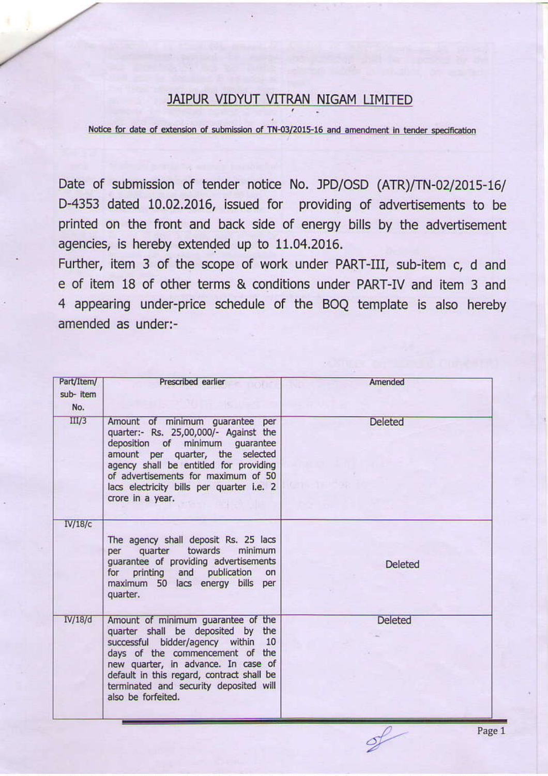## JAIPUR VIDYUT VITRAN NIGAM LIMITED

Notice for date of extension of submission of TN-03/2015-16 and amendment in tender specification

Date of submission of tender notice No. JPD/OSD (ATR)/TN-02/2015-16/ D-4353 dated 10.02.2016, issued for providing of advertisements to be printed on the front and back side of energy bills by the advertisement agencies, is hereby extended up to 11.04.2016.

Further, item 3 of the scope of work under PART-III, sub-item c, d and e of item 18 of other terms & conditions under PART-IV and item 3 and 4 appearing under-price schedule of the BOQ template is also hereby amended as under:-

| Part/Item/<br>sub-item<br>No. | Prescribed earlier                                                                                                                                                                                                                                                                                   | Amended        |
|-------------------------------|------------------------------------------------------------------------------------------------------------------------------------------------------------------------------------------------------------------------------------------------------------------------------------------------------|----------------|
| III/3                         | Amount of minimum guarantee per<br>quarter:- Rs. 25,00,000/- Against the<br>deposition of minimum guarantee<br>amount per quarter, the selected<br>agency shall be entitled for providing<br>of advertisements for maximum of 50<br>lacs electricity bills per quarter i.e. 2<br>crore in a year.    | <b>Deleted</b> |
| IV/18/c                       | The agency shall deposit Rs. 25 lacs<br>quarter towards<br>minimum<br>per<br>guarantee of providing advertisements<br>for printing and publication<br>on<br>maximum 50 lacs energy bills per<br>quarter.                                                                                             | <b>Deleted</b> |
| IV/18/d                       | Amount of minimum guarantee of the<br>quarter shall be deposited by the<br>successful bidder/agency within 10<br>days of the commencement of the<br>new quarter, in advance. In case of<br>default in this regard, contract shall be<br>terminated and security deposited will<br>also be forfeited. | <b>Deleted</b> |